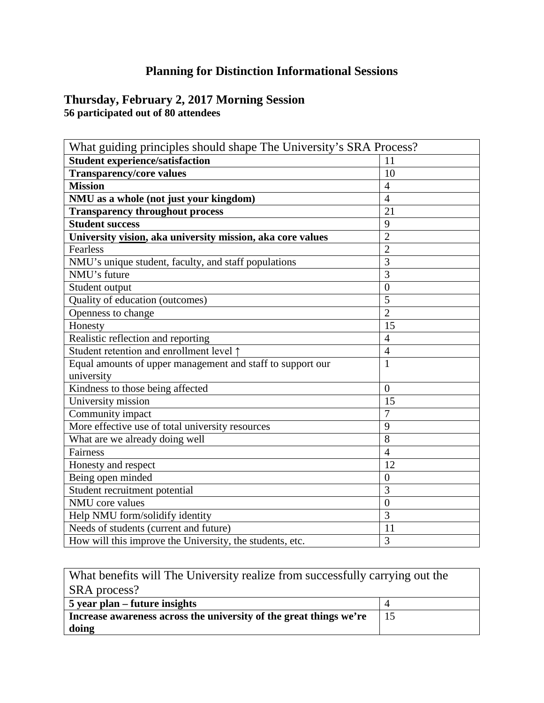## **Planning for Distinction Informational Sessions**

## **Thursday, February 2, 2017 Morning Session 56 participated out of 80 attendees**

| What guiding principles should shape The University's SRA Process? |                |
|--------------------------------------------------------------------|----------------|
| <b>Student experience/satisfaction</b>                             | 11             |
| <b>Transparency/core values</b>                                    | 10             |
| <b>Mission</b>                                                     | $\overline{4}$ |
| NMU as a whole (not just your kingdom)                             | $\overline{4}$ |
| <b>Transparency throughout process</b>                             | 21             |
| <b>Student success</b>                                             | 9              |
| University vision, aka university mission, aka core values         | $\overline{2}$ |
| <b>Fearless</b>                                                    | $\overline{2}$ |
| NMU's unique student, faculty, and staff populations               | $\overline{3}$ |
| NMU's future                                                       | 3              |
| Student output                                                     | $\overline{0}$ |
| Quality of education (outcomes)                                    | 5              |
| Openness to change                                                 | $\overline{2}$ |
| Honesty                                                            | 15             |
| Realistic reflection and reporting                                 | $\overline{4}$ |
| Student retention and enrollment level 1                           | $\overline{4}$ |
| Equal amounts of upper management and staff to support our         | $\overline{1}$ |
| university                                                         |                |
| Kindness to those being affected                                   | $\Omega$       |
| University mission                                                 | 15             |
| Community impact                                                   | $\overline{7}$ |
| More effective use of total university resources                   | 9              |
| What are we already doing well                                     | $\overline{8}$ |
| Fairness                                                           | $\overline{4}$ |
| Honesty and respect                                                | 12             |
| Being open minded                                                  | $\overline{0}$ |
| Student recruitment potential                                      | 3              |
| NMU core values                                                    | $\overline{0}$ |
| Help NMU form/solidify identity                                    | 3              |
| Needs of students (current and future)                             | 11             |
| How will this improve the University, the students, etc.           | 3              |

| What benefits will The University realize from successfully carrying out the |    |
|------------------------------------------------------------------------------|----|
| SRA process?                                                                 |    |
| 5 year plan – future insights                                                |    |
| Increase awareness across the university of the great things we're           | 15 |
| doing                                                                        |    |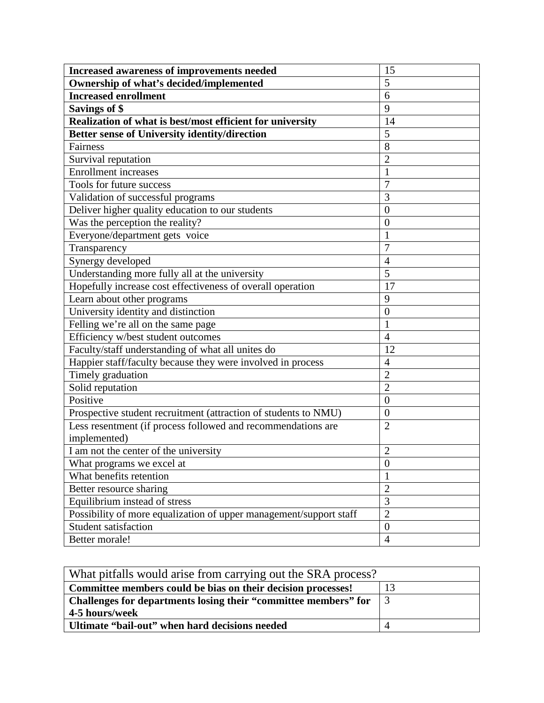| Increased awareness of improvements needed                         | 15               |
|--------------------------------------------------------------------|------------------|
| Ownership of what's decided/implemented                            | 5                |
| <b>Increased enrollment</b>                                        | $\overline{6}$   |
| <b>Savings of \$</b>                                               | 9                |
| Realization of what is best/most efficient for university          | 14               |
| <b>Better sense of University identity/direction</b>               | 5                |
| Fairness                                                           | 8                |
| Survival reputation                                                | $\overline{2}$   |
| <b>Enrollment</b> increases                                        | $\mathbf{1}$     |
| Tools for future success                                           | $\overline{7}$   |
| Validation of successful programs                                  | 3                |
| Deliver higher quality education to our students                   | $\overline{0}$   |
| Was the perception the reality?                                    | $\boldsymbol{0}$ |
| Everyone/department gets voice                                     | 1                |
| Transparency                                                       | $\overline{7}$   |
| Synergy developed                                                  | $\overline{4}$   |
| Understanding more fully all at the university                     | $\overline{5}$   |
| Hopefully increase cost effectiveness of overall operation         | 17               |
| Learn about other programs                                         | 9                |
| University identity and distinction                                | $\boldsymbol{0}$ |
| Felling we're all on the same page                                 | $\mathbf{1}$     |
| Efficiency w/best student outcomes                                 | $\overline{4}$   |
| Faculty/staff understanding of what all unites do                  | 12               |
| Happier staff/faculty because they were involved in process        | $\overline{4}$   |
| Timely graduation                                                  | $\overline{2}$   |
| Solid reputation                                                   | $\overline{2}$   |
| Positive                                                           | $\overline{0}$   |
| Prospective student recruitment (attraction of students to NMU)    | $\overline{0}$   |
| Less resentment (if process followed and recommendations are       | $\overline{2}$   |
| implemented)                                                       |                  |
| I am not the center of the university                              | $\overline{2}$   |
| What programs we excel at                                          | $\overline{0}$   |
| What benefits retention                                            | $\mathbf{1}$     |
| Better resource sharing                                            | $\overline{2}$   |
| Equilibrium instead of stress                                      | $\overline{3}$   |
| Possibility of more equalization of upper management/support staff | $\overline{2}$   |
| <b>Student satisfaction</b>                                        | $\boldsymbol{0}$ |
| Better morale!                                                     | $\overline{4}$   |

| What pitfalls would arise from carrying out the SRA process?                  |  |
|-------------------------------------------------------------------------------|--|
| Committee members could be bias on their decision processes!                  |  |
| Challenges for departments losing their "committee members" for $\parallel$ 3 |  |
| 4-5 hours/week                                                                |  |
| Ultimate "bail-out" when hard decisions needed                                |  |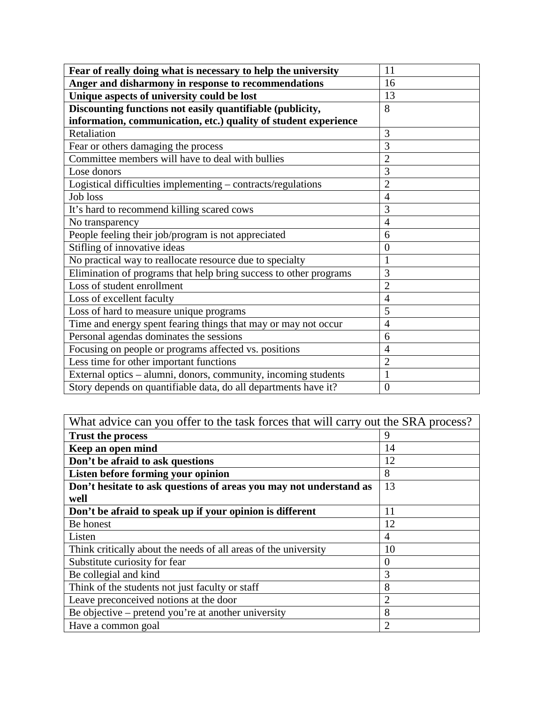| Fear of really doing what is necessary to help the university     | 11             |
|-------------------------------------------------------------------|----------------|
| Anger and disharmony in response to recommendations               | 16             |
| Unique aspects of university could be lost                        | 13             |
| Discounting functions not easily quantifiable (publicity,         | 8              |
| information, communication, etc.) quality of student experience   |                |
| Retaliation                                                       | 3              |
| Fear or others damaging the process                               | 3              |
| Committee members will have to deal with bullies                  | $\overline{2}$ |
| Lose donors                                                       | $\overline{3}$ |
| Logistical difficulties implementing – contracts/regulations      | $\overline{2}$ |
| <b>Job</b> loss                                                   | $\overline{4}$ |
| It's hard to recommend killing scared cows                        | 3              |
| No transparency                                                   | $\overline{4}$ |
| People feeling their job/program is not appreciated               | 6              |
| Stifling of innovative ideas                                      | $\overline{0}$ |
| No practical way to reallocate resource due to specialty          | $\mathbf{1}$   |
| Elimination of programs that help bring success to other programs | 3              |
| Loss of student enrollment                                        | $\overline{2}$ |
| Loss of excellent faculty                                         | $\overline{4}$ |
| Loss of hard to measure unique programs                           | 5              |
| Time and energy spent fearing things that may or may not occur    | $\overline{4}$ |
| Personal agendas dominates the sessions                           | 6              |
| Focusing on people or programs affected vs. positions             | $\overline{4}$ |
| Less time for other important functions                           | $\overline{2}$ |
| External optics - alumni, donors, community, incoming students    | $\mathbf{1}$   |
| Story depends on quantifiable data, do all departments have it?   | $\overline{0}$ |

| What advice can you offer to the task forces that will carry out the SRA process? |                |
|-----------------------------------------------------------------------------------|----------------|
| <b>Trust the process</b>                                                          | 9              |
| Keep an open mind                                                                 | 14             |
| Don't be afraid to ask questions                                                  | 12             |
| Listen before forming your opinion                                                | 8              |
| Don't hesitate to ask questions of areas you may not understand as                | 13             |
| well                                                                              |                |
| Don't be afraid to speak up if your opinion is different                          | 11             |
| Be honest                                                                         | 12             |
| Listen                                                                            | 4              |
| Think critically about the needs of all areas of the university                   | 10             |
| Substitute curiosity for fear                                                     | $\theta$       |
| Be collegial and kind                                                             | 3              |
| Think of the students not just faculty or staff                                   | 8              |
| Leave preconceived notions at the door                                            | $\overline{2}$ |
| Be objective – pretend you're at another university                               | 8              |
| Have a common goal                                                                | $\overline{2}$ |